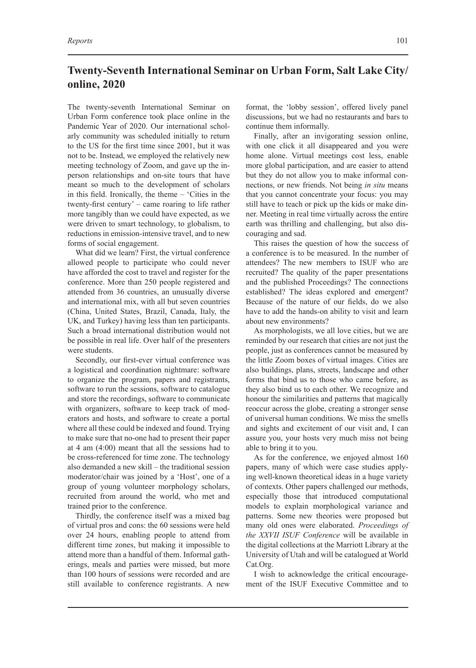## **Twenty-Seventh International Seminar on Urban Form, Salt Lake City/ online, 2020**

The twenty-seventh International Seminar on Urban Form conference took place online in the Pandemic Year of 2020. Our international scholarly community was scheduled initially to return to the US for the first time since 2001, but it was not to be. Instead, we employed the relatively new meeting technology of Zoom, and gave up the inperson relationships and on-site tours that have meant so much to the development of scholars in this field. Ironically, the theme – 'Cities in the twenty-first century' – came roaring to life rather more tangibly than we could have expected, as we were driven to smart technology, to globalism, to reductions in emission-intensive travel, and to new forms of social engagement.

What did we learn? First, the virtual conference allowed people to participate who could never have afforded the cost to travel and register for the conference. More than 250 people registered and attended from 36 countries, an unusually diverse and international mix, with all but seven countries (China, United States, Brazil, Canada, Italy, the UK, and Turkey) having less than ten participants. Such a broad international distribution would not be possible in real life. Over half of the presenters were students.

Secondly, our first-ever virtual conference was a logistical and coordination nightmare: software to organize the program, papers and registrants, software to run the sessions, software to catalogue and store the recordings, software to communicate with organizers, software to keep track of moderators and hosts, and software to create a portal where all these could be indexed and found. Trying to make sure that no-one had to present their paper at 4 am (4:00) meant that all the sessions had to be cross-referenced for time zone. The technology also demanded a new skill – the traditional session moderator/chair was joined by a 'Host', one of a group of young volunteer morphology scholars, recruited from around the world, who met and trained prior to the conference.

Thirdly, the conference itself was a mixed bag of virtual pros and cons: the 60 sessions were held over 24 hours, enabling people to attend from different time zones, but making it impossible to attend more than a handful of them. Informal gatherings, meals and parties were missed, but more than 100 hours of sessions were recorded and are still available to conference registrants. A new

format, the 'lobby session', offered lively panel discussions, but we had no restaurants and bars to continue them informally.

Finally, after an invigorating session online, with one click it all disappeared and you were home alone. Virtual meetings cost less, enable more global participation, and are easier to attend but they do not allow you to make informal connections, or new friends. Not being *in situ* means that you cannot concentrate your focus: you may still have to teach or pick up the kids or make dinner. Meeting in real time virtually across the entire earth was thrilling and challenging, but also discouraging and sad.

This raises the question of how the success of a conference is to be measured. In the number of attendees? The new members to ISUF who are recruited? The quality of the paper presentations and the published Proceedings? The connections established? The ideas explored and emergent? Because of the nature of our fields, do we also have to add the hands-on ability to visit and learn about new environments?

As morphologists, we all love cities, but we are reminded by our research that cities are not just the people, just as conferences cannot be measured by the little Zoom boxes of virtual images. Cities are also buildings, plans, streets, landscape and other forms that bind us to those who came before, as they also bind us to each other. We recognize and honour the similarities and patterns that magically reoccur across the globe, creating a stronger sense of universal human conditions. We miss the smells and sights and excitement of our visit and, I can assure you, your hosts very much miss not being able to bring it to you.

As for the conference, we enjoyed almost 160 papers, many of which were case studies applying well-known theoretical ideas in a huge variety of contexts. Other papers challenged our methods, especially those that introduced computational models to explain morphological variance and patterns. Some new theories were proposed but many old ones were elaborated. *Proceedings of the XXVII ISUF Conference* will be available in the digital collections at the Marriott Library at the University of Utah and will be catalogued at World Cat.Org.

I wish to acknowledge the critical encouragement of the ISUF Executive Committee and to